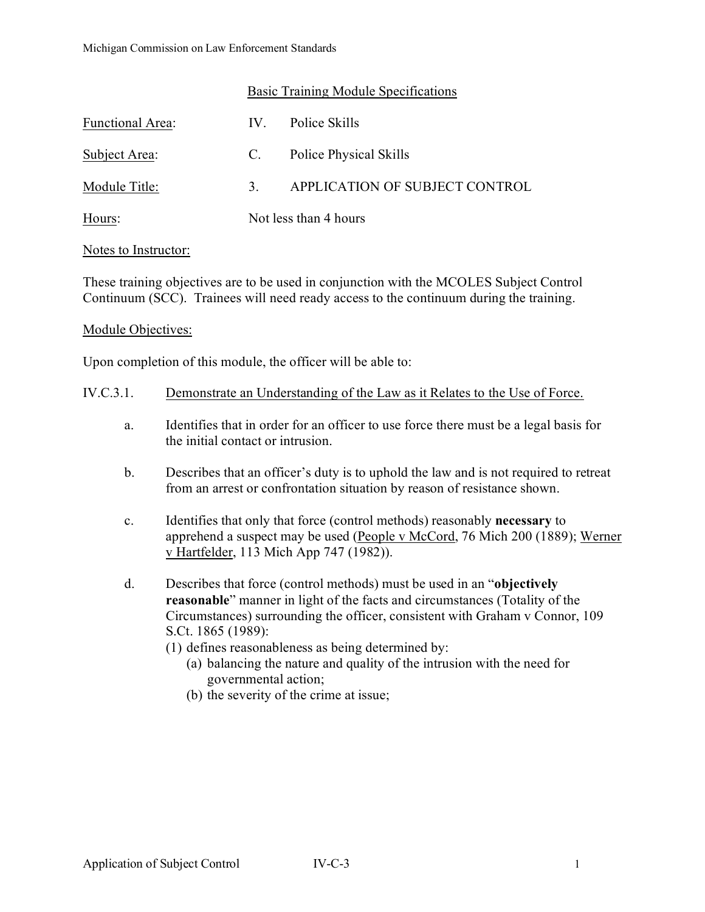# Basic Training Module Specifications

| Functional Area: | $IV_{-}$              | Police Skills                  |
|------------------|-----------------------|--------------------------------|
| Subject Area:    | C.                    | Police Physical Skills         |
| Module Title:    | 3.                    | APPLICATION OF SUBJECT CONTROL |
| Hours:           | Not less than 4 hours |                                |

### Notes to Instructor:

These training objectives are to be used in conjunction with the MCOLES Subject Control Continuum (SCC). Trainees will need ready access to the continuum during the training.

### Module Objectives:

Upon completion of this module, the officer will be able to:

- a. Identifies that in order for an officer to use force there must be a legal basis for the initial contact or intrusion.
- b. Describes that an officer's duty is to uphold the law and is not required to retreat from an arrest or confrontation situation by reason of resistance shown.
- c. Identifies that only that force (control methods) reasonably **necessary** to apprehend a suspect may be used (People v McCord, 76 Mich 200 (1889); Werner v Hartfelder, 113 Mich App 747 (1982)).
- d. Describes that force (control methods) must be used in an "**objectively reasonable**" manner in light of the facts and circumstances (Totality of the Circumstances) surrounding the officer, consistent with Graham v Connor, 109 S.Ct. 1865 (1989):
	- (1) defines reasonableness as being determined by:
		- (a) balancing the nature and quality of the intrusion with the need for governmental action;
		- (b) the severity of the crime at issue;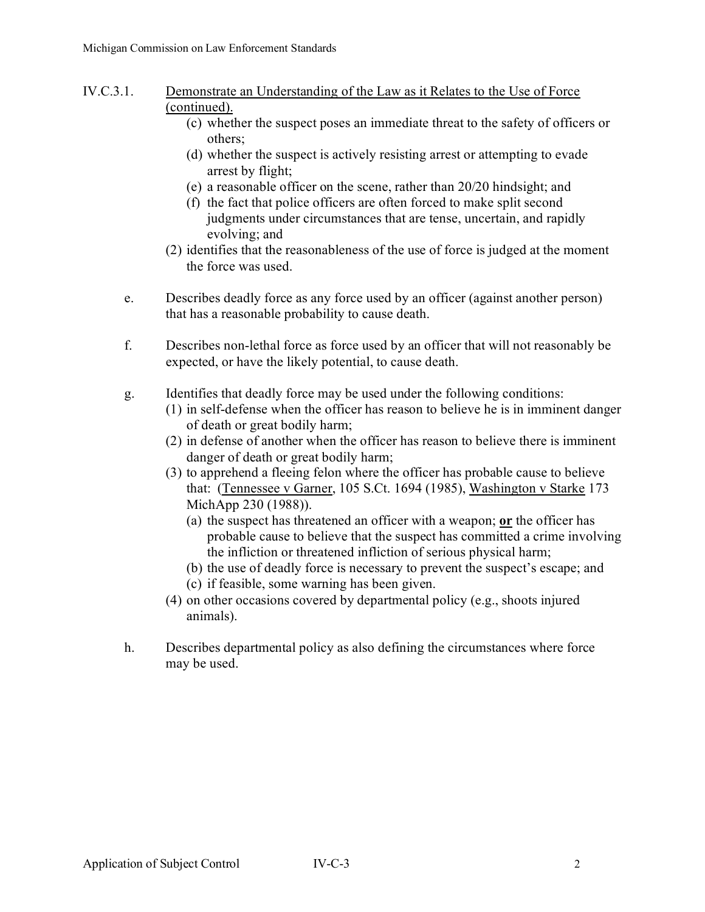- IV.C.3.1. Demonstrate an Understanding of the Law as it Relates to the Use of Force (continued).
	- (c) whether the suspect poses an immediate threat to the safety of officers or others;
	- (d) whether the suspect is actively resisting arrest or attempting to evade arrest by flight;
	- (e) a reasonable officer on the scene, rather than 20/20 hindsight; and
	- (f) the fact that police officers are often forced to make split second judgments under circumstances that are tense, uncertain, and rapidly evolving; and
	- (2) identifies that the reasonableness of the use of force is judged at the moment the force was used.
	- e. Describes deadly force as any force used by an officer (against another person) that has a reasonable probability to cause death.
	- f. Describes non-lethal force as force used by an officer that will not reasonably be expected, or have the likely potential, to cause death.
	- g. Identifies that deadly force may be used under the following conditions:
		- (1) in self-defense when the officer has reason to believe he is in imminent danger of death or great bodily harm;
		- (2) in defense of another when the officer has reason to believe there is imminent danger of death or great bodily harm;
		- (3) to apprehend a fleeing felon where the officer has probable cause to believe that: (Tennessee v Garner, 105 S.Ct. 1694 (1985), Washington v Starke 173 MichApp 230 (1988)).
			- (a) the suspect has threatened an officer with a weapon; **or** the officer has probable cause to believe that the suspect has committed a crime involving the infliction or threatened infliction of serious physical harm;
			- (b) the use of deadly force is necessary to prevent the suspect's escape; and
			- (c) if feasible, some warning has been given.
		- (4) on other occasions covered by departmental policy (e.g., shoots injured animals).
	- h. Describes departmental policy as also defining the circumstances where force may be used.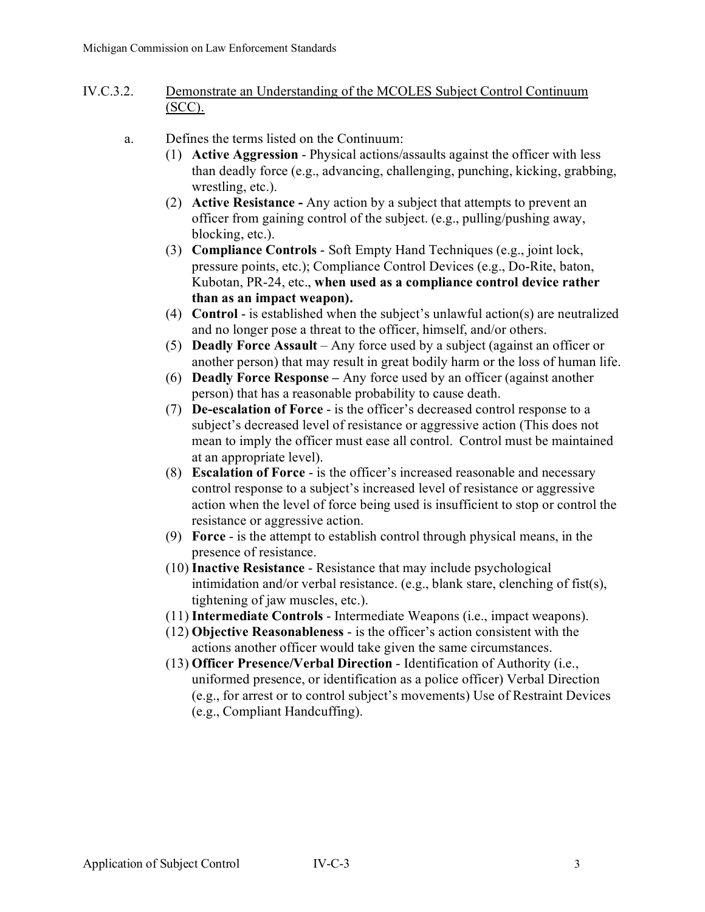- IV.C.3.2. Demonstrate an Understanding of the MCOLES Subject Control Continuum (SCC).
	- a. Defines the terms listed on the Continuum:
		- (1) **Active Aggression** Physical actions/assaults against the officer with less than deadly force (e.g., advancing, challenging, punching, kicking, grabbing, wrestling, etc.).
		- (2) **Active Resistance -** Any action by a subject that attempts to prevent an officer from gaining control of the subject. (e.g., pulling/pushing away, blocking, etc.).
		- (3) **Compliance Controls** Soft Empty Hand Techniques (e.g., joint lock, pressure points, etc.); Compliance Control Devices (e.g., Do-Rite, baton, Kubotan, PR-24, etc., **when used as a compliance control device rather than as an impact weapon).**
		- (4) **Control** is established when the subject's unlawful action(s) are neutralized and no longer pose a threat to the officer, himself, and/or others.
		- (5) **Deadly Force Assault** Any force used by a subject (against an officer or another person) that may result in great bodily harm or the loss of human life.
		- (6) **Deadly Force Response –** Any force used by an officer (against another person) that has a reasonable probability to cause death.
		- (7) **De-escalation of Force** is the officer's decreased control response to a subject's decreased level of resistance or aggressive action (This does not mean to imply the officer must ease all control. Control must be maintained at an appropriate level).
		- (8) **Escalation of Force** is the officer's increased reasonable and necessary control response to a subject's increased level of resistance or aggressive action when the level of force being used is insufficient to stop or control the resistance or aggressive action.
		- (9) **Force** is the attempt to establish control through physical means, in the presence of resistance.
		- (10) **Inactive Resistance** Resistance that may include psychological intimidation and/or verbal resistance. (e.g., blank stare, clenching of fist(s), tightening of jaw muscles, etc.).
		- (11) **Intermediate Controls** Intermediate Weapons (i.e., impact weapons).
		- (12) **Objective Reasonableness** is the officer's action consistent with the actions another officer would take given the same circumstances.
		- (13) **Officer Presence/Verbal Direction** Identification of Authority (i.e., uniformed presence, or identification as a police officer) Verbal Direction (e.g., for arrest or to control subject's movements) Use of Restraint Devices (e.g., Compliant Handcuffing).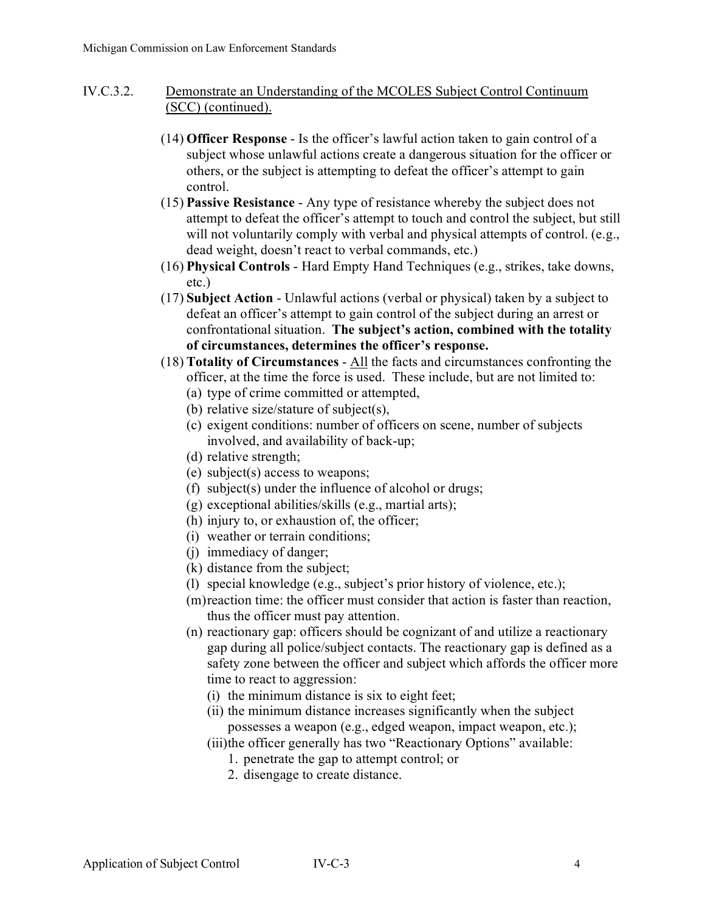- IV.C.3.2. Demonstrate an Understanding of the MCOLES Subject Control Continuum (SCC) (continued).
	- (14) **Officer Response** Is the officer's lawful action taken to gain control of a subject whose unlawful actions create a dangerous situation for the officer or others, or the subject is attempting to defeat the officer's attempt to gain control.
	- (15) **Passive Resistance** Any type of resistance whereby the subject does not attempt to defeat the officer's attempt to touch and control the subject, but still will not voluntarily comply with verbal and physical attempts of control. (e.g., dead weight, doesn't react to verbal commands, etc.)
	- (16) **Physical Controls** Hard Empty Hand Techniques (e.g., strikes, take downs, etc.)
	- (17) **Subject Action** Unlawful actions (verbal or physical) taken by a subject to defeat an officer's attempt to gain control of the subject during an arrest or confrontational situation. **The subject's action, combined with the totality of circumstances, determines the officer's response.**
	- (18) **Totality of Circumstances** All the facts and circumstances confronting the officer, at the time the force is used. These include, but are not limited to: (a) type of crime committed or attempted,
		- (b) relative size/stature of subject(s),
		- (c) exigent conditions: number of officers on scene, number of subjects involved, and availability of back-up;
		- (d) relative strength;
		- (e) subject(s) access to weapons;
		- (f) subject(s) under the influence of alcohol or drugs;
		- (g) exceptional abilities/skills (e.g., martial arts);
		- (h) injury to, or exhaustion of, the officer;
		- (i) weather or terrain conditions;
		- (j) immediacy of danger;
		- (k) distance from the subject;
		- (l) special knowledge (e.g., subject's prior history of violence, etc.);
		- (m)reaction time: the officer must consider that action is faster than reaction, thus the officer must pay attention.
		- (n) reactionary gap: officers should be cognizant of and utilize a reactionary gap during all police/subject contacts. The reactionary gap is defined as a safety zone between the officer and subject which affords the officer more time to react to aggression:
			- (i) the minimum distance is six to eight feet;
			- (ii) the minimum distance increases significantly when the subject possesses a weapon (e.g., edged weapon, impact weapon, etc.);
			- (iii)the officer generally has two "Reactionary Options" available:
				- 1. penetrate the gap to attempt control; or
				- 2. disengage to create distance.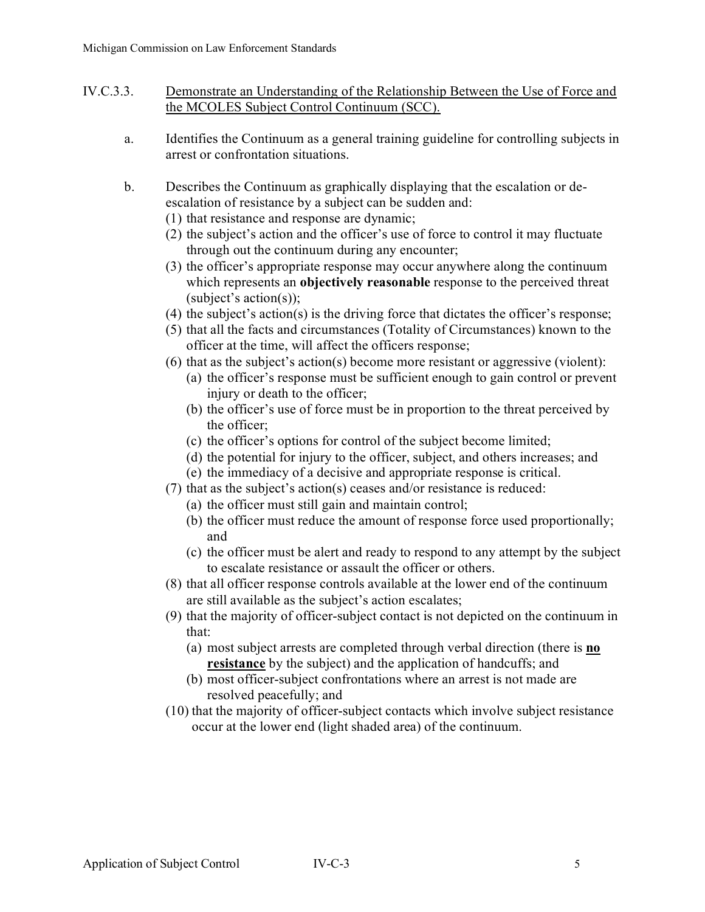- IV.C.3.3. Demonstrate an Understanding of the Relationship Between the Use of Force and the MCOLES Subject Control Continuum (SCC).
	- a. Identifies the Continuum as a general training guideline for controlling subjects in arrest or confrontation situations.
	- b. Describes the Continuum as graphically displaying that the escalation or deescalation of resistance by a subject can be sudden and:
		- (1) that resistance and response are dynamic;
		- (2) the subject's action and the officer's use of force to control it may fluctuate through out the continuum during any encounter;
		- (3) the officer's appropriate response may occur anywhere along the continuum which represents an **objectively reasonable** response to the perceived threat (subject's action(s));
		- (4) the subject's action(s) is the driving force that dictates the officer's response;
		- (5) that all the facts and circumstances (Totality of Circumstances) known to the officer at the time, will affect the officers response;
		- (6) that as the subject's action(s) become more resistant or aggressive (violent):
			- (a) the officer's response must be sufficient enough to gain control or prevent injury or death to the officer;
			- (b) the officer's use of force must be in proportion to the threat perceived by the officer;
			- (c) the officer's options for control of the subject become limited;
			- (d) the potential for injury to the officer, subject, and others increases; and
			- (e) the immediacy of a decisive and appropriate response is critical.
		- (7) that as the subject's action(s) ceases and/or resistance is reduced:
			- (a) the officer must still gain and maintain control;
			- (b) the officer must reduce the amount of response force used proportionally; and
			- (c) the officer must be alert and ready to respond to any attempt by the subject to escalate resistance or assault the officer or others.
		- (8) that all officer response controls available at the lower end of the continuum are still available as the subject's action escalates;
		- (9) that the majority of officer-subject contact is not depicted on the continuum in that:
			- (a) most subject arrests are completed through verbal direction (there is **no resistance** by the subject) and the application of handcuffs; and
			- (b) most officer-subject confrontations where an arrest is not made are resolved peacefully; and
		- (10) that the majority of officer-subject contacts which involve subject resistance occur at the lower end (light shaded area) of the continuum.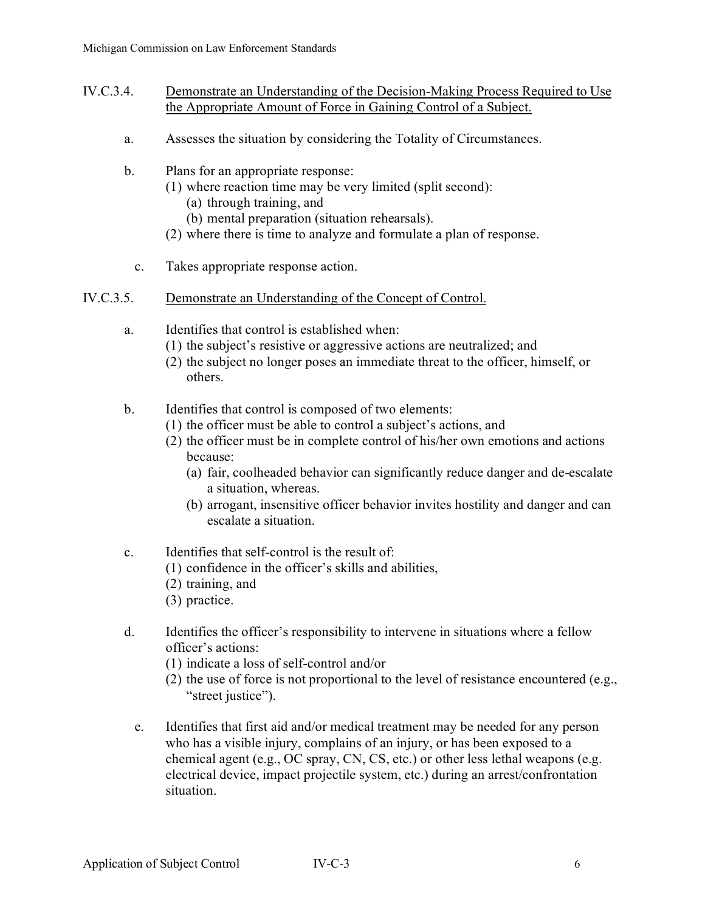- IV.C.3.4. Demonstrate an Understanding of the Decision-Making Process Required to Use the Appropriate Amount of Force in Gaining Control of a Subject.
	- a. Assesses the situation by considering the Totality of Circumstances.
	- b. Plans for an appropriate response:
		- (1) where reaction time may be very limited (split second):
			- (a) through training, and
			- (b) mental preparation (situation rehearsals).
		- (2) where there is time to analyze and formulate a plan of response.
		- c. Takes appropriate response action.
- IV.C.3.5. Demonstrate an Understanding of the Concept of Control.
	- a. Identifies that control is established when:
		- (1) the subject's resistive or aggressive actions are neutralized; and
		- (2) the subject no longer poses an immediate threat to the officer, himself, or others.
	- b. Identifies that control is composed of two elements:
		- (1) the officer must be able to control a subject's actions, and
		- (2) the officer must be in complete control of his/her own emotions and actions because:
			- (a) fair, coolheaded behavior can significantly reduce danger and de-escalate a situation, whereas.
			- (b) arrogant, insensitive officer behavior invites hostility and danger and can escalate a situation.
	- c. Identifies that self-control is the result of:
		- (1) confidence in the officer's skills and abilities,
		- (2) training, and
		- (3) practice.
	- d. Identifies the officer's responsibility to intervene in situations where a fellow officer's actions:
		- (1) indicate a loss of self-control and/or
		- (2) the use of force is not proportional to the level of resistance encountered (e.g., "street justice").
		- e. Identifies that first aid and/or medical treatment may be needed for any person who has a visible injury, complains of an injury, or has been exposed to a chemical agent (e.g., OC spray, CN, CS, etc.) or other less lethal weapons (e.g. electrical device, impact projectile system, etc.) during an arrest/confrontation situation.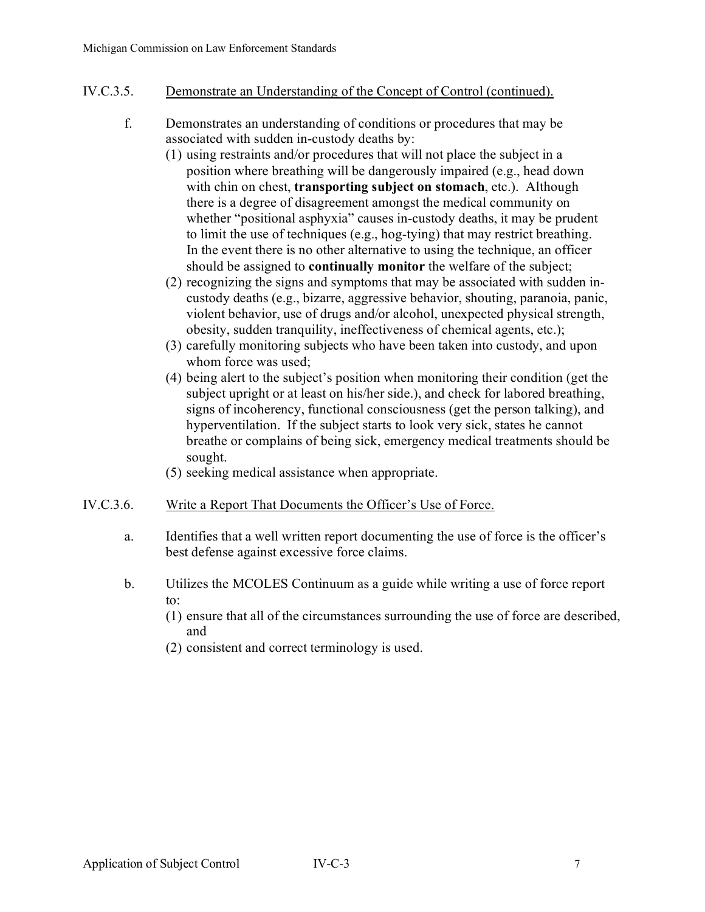## IV.C.3.5. Demonstrate an Understanding of the Concept of Control (continued).

- f. Demonstrates an understanding of conditions or procedures that may be associated with sudden in-custody deaths by:
	- (1) using restraints and/or procedures that will not place the subject in a position where breathing will be dangerously impaired (e.g., head down with chin on chest, **transporting subject on stomach**, etc.). Although there is a degree of disagreement amongst the medical community on whether "positional asphyxia" causes in-custody deaths, it may be prudent to limit the use of techniques (e.g., hog-tying) that may restrict breathing. In the event there is no other alternative to using the technique, an officer should be assigned to **continually monitor** the welfare of the subject;
	- (2) recognizing the signs and symptoms that may be associated with sudden incustody deaths (e.g., bizarre, aggressive behavior, shouting, paranoia, panic, violent behavior, use of drugs and/or alcohol, unexpected physical strength, obesity, sudden tranquility, ineffectiveness of chemical agents, etc.);
	- (3) carefully monitoring subjects who have been taken into custody, and upon whom force was used;
	- (4) being alert to the subject's position when monitoring their condition (get the subject upright or at least on his/her side.), and check for labored breathing, signs of incoherency, functional consciousness (get the person talking), and hyperventilation. If the subject starts to look very sick, states he cannot breathe or complains of being sick, emergency medical treatments should be sought.
	- (5) seeking medical assistance when appropriate.

### IV.C.3.6. Write a Report That Documents the Officer's Use of Force.

- a. Identifies that a well written report documenting the use of force is the officer's best defense against excessive force claims.
- b. Utilizes the MCOLES Continuum as a guide while writing a use of force report to:
	- (1) ensure that all of the circumstances surrounding the use of force are described, and
	- (2) consistent and correct terminology is used.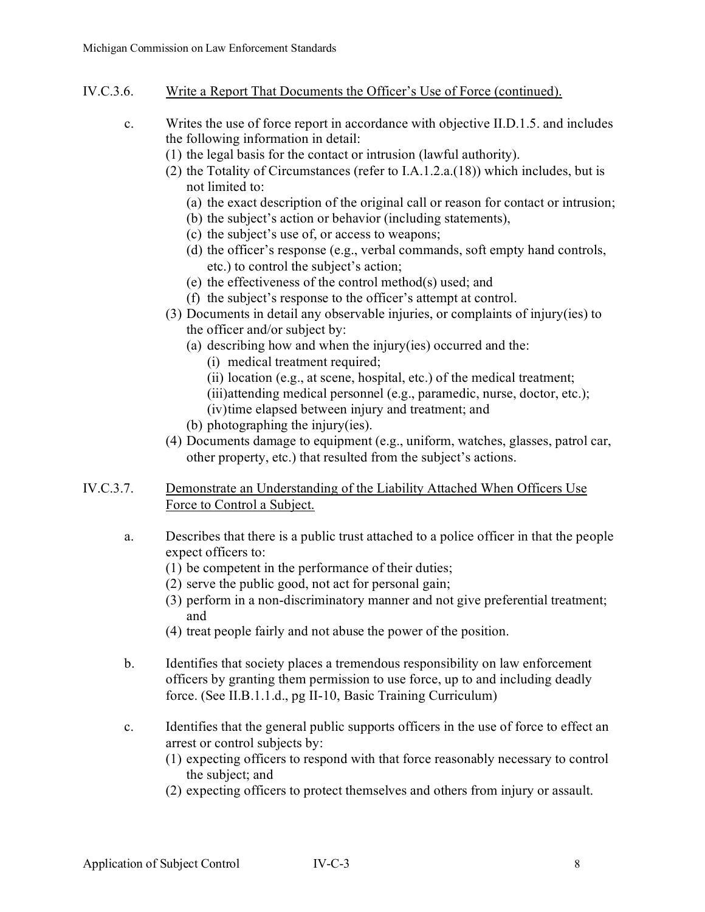- IV.C.3.6. Write a Report That Documents the Officer's Use of Force (continued).
	- c. Writes the use of force report in accordance with objective II.D.1.5. and includes the following information in detail:
		- (1) the legal basis for the contact or intrusion (lawful authority).
		- (2) the Totality of Circumstances (refer to I.A.1.2.a.(18)) which includes, but is not limited to:
			- (a) the exact description of the original call or reason for contact or intrusion;
			- (b) the subject's action or behavior (including statements),
			- (c) the subject's use of, or access to weapons;
			- (d) the officer's response (e.g., verbal commands, soft empty hand controls, etc.) to control the subject's action;
			- (e) the effectiveness of the control method(s) used; and
			- (f) the subject's response to the officer's attempt at control.
		- (3) Documents in detail any observable injuries, or complaints of injury(ies) to the officer and/or subject by:
			- (a) describing how and when the injury(ies) occurred and the:
				- (i) medical treatment required;
				- (ii) location (e.g., at scene, hospital, etc.) of the medical treatment;
				- (iii)attending medical personnel (e.g., paramedic, nurse, doctor, etc.);
				- (iv)time elapsed between injury and treatment; and
			- (b) photographing the injury(ies).
		- (4) Documents damage to equipment (e.g., uniform, watches, glasses, patrol car, other property, etc.) that resulted from the subject's actions.
- IV.C.3.7. Demonstrate an Understanding of the Liability Attached When Officers Use Force to Control a Subject.
	- a. Describes that there is a public trust attached to a police officer in that the people expect officers to:
		- (1) be competent in the performance of their duties;
		- (2) serve the public good, not act for personal gain;
		- (3) perform in a non-discriminatory manner and not give preferential treatment; and
		- (4) treat people fairly and not abuse the power of the position.
	- b. Identifies that society places a tremendous responsibility on law enforcement officers by granting them permission to use force, up to and including deadly force. (See II.B.1.1.d., pg II-10, Basic Training Curriculum)
	- c. Identifies that the general public supports officers in the use of force to effect an arrest or control subjects by:
		- (1) expecting officers to respond with that force reasonably necessary to control the subject; and
		- (2) expecting officers to protect themselves and others from injury or assault.